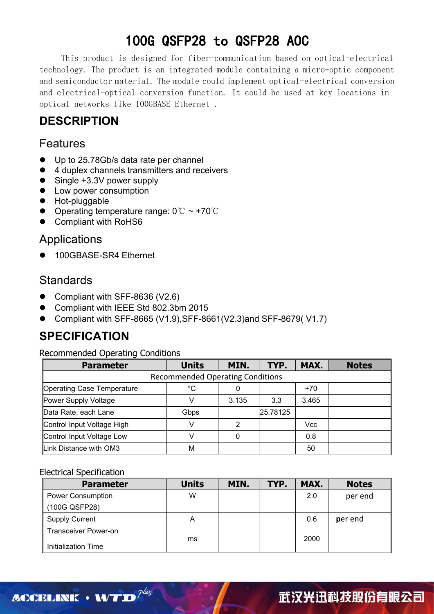This product is designed for fiber-communication based on optical-electrical technology. The product is an integrated module containing a micro-optic component and semiconductor material. The module could implement optical-electrical conversion and electrical-optical conversion function. It could be used at key locations in optical networks like 100GBASE Ethernet .

## **DESCRIPTION**

### Features

- Up to 25.78Gb/s data rate per channel
- 4 duplex channels transmitters and receivers
- Single +3.3V power supply
- **•** Low power consumption
- **•** Hot-pluggable
- $\bullet$  Operating temperature range: 0℃ ~ +70℃
- Compliant with RoHS6

### Applications

● 100GBASE-SR4 Ethernet

### **Standards**

- Compliant with SFF-8636 (V2.6)
- Compliant with IEEE Std 802.3bm 2015
- Compliant with SFF-8665 (V1.9),SFF-8661(V2.3)and SFF-8679( V1.7)

## **SPECIFICATION**

Recommended Operating Conditions

| <b>Parameter</b>           | <b>Units</b>                            | MIN.  | TYP.     | MAX.       | <b>Notes</b> |
|----------------------------|-----------------------------------------|-------|----------|------------|--------------|
|                            | <b>Recommended Operating Conditions</b> |       |          |            |              |
| Operating Case Temperature | $^{\circ}C$                             |       |          | $+70$      |              |
| Power Supply Voltage       |                                         | 3.135 | 3.3      | 3.465      |              |
| Data Rate, each Lane       | Gbps                                    |       | 25.78125 |            |              |
| Control Input Voltage High |                                         |       |          | <b>Vcc</b> |              |
| Control Input Voltage Low  |                                         |       |          | 0.8        |              |
| Link Distance with OM3     | M                                       |       |          | 50         |              |

#### Electrical Specification

| <b>Parameter</b>            | <b>Units</b> | MIN. | TYP. | MAX. | <b>Notes</b> |
|-----------------------------|--------------|------|------|------|--------------|
| <b>Power Consumption</b>    | W            |      |      | 2.0  | per end      |
| (100G QSFP28)               |              |      |      |      |              |
| <b>Supply Current</b>       | A            |      |      | 0.6  | per end      |
| <b>Transceiver Power-on</b> | ms           |      |      | 2000 |              |
| <b>Initialization Time</b>  |              |      |      |      |              |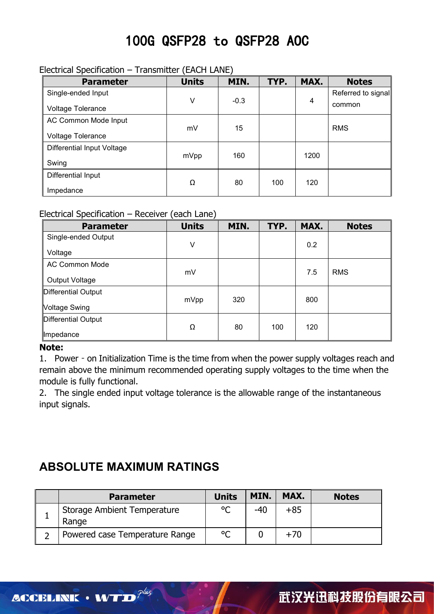#### Electrical Specification – Transmitter (EACH LANE)

| <b>Parameter</b>           | <b>Units</b> | MIN.   | TYP. | MAX. | <b>Notes</b>       |  |
|----------------------------|--------------|--------|------|------|--------------------|--|
| Single-ended Input         |              |        |      |      | Referred to signal |  |
| <b>Voltage Tolerance</b>   | V            | $-0.3$ |      | 4    | common             |  |
| AC Common Mode Input       |              |        |      |      |                    |  |
| <b>Voltage Tolerance</b>   | mV           | 15     |      |      | <b>RMS</b>         |  |
| Differential Input Voltage |              |        |      |      |                    |  |
| Swing                      | mVpp         | 160    |      | 1200 |                    |  |
| Differential Input         |              |        |      |      |                    |  |
| Impedance                  | Ω            | 80     | 100  | 120  |                    |  |

#### Electrical Specification – Receiver (each Lane)

| <b>Parameter</b>      | <b>Units</b> | MIN. | TYP. | MAX. | <b>Notes</b> |
|-----------------------|--------------|------|------|------|--------------|
| Single-ended Output   |              |      |      |      |              |
| Voltage               | V            |      |      | 0.2  |              |
| <b>AC Common Mode</b> |              |      |      | 7.5  | <b>RMS</b>   |
| <b>Output Voltage</b> | mV           |      |      |      |              |
| Differential Output   |              |      |      |      |              |
| Voltage Swing         | mVpp         | 320  |      | 800  |              |
| Differential Output   |              |      |      |      |              |
| ∥Impedance            | Ω            | 80   | 100  | 120  |              |

#### **Note:**

1. Power - on Initialization Time is the time from when the power supply voltages reach and remain above the minimum recommended operating supply voltages to the time when the module is fully functional.

2. The single ended input voltage tolerance is the allowable range of the instantaneous input signals.

## **ABSOLUTE MAXIMUM RATINGS**

| <b>Parameter</b>                     | <b>Units</b> | MIN.  | MAX.  | <b>Notes</b> |
|--------------------------------------|--------------|-------|-------|--------------|
| Storage Ambient Temperature<br>Range | $\circ$      | $-40$ | $+85$ |              |
| Powered case Temperature Range       | $\circ$      |       | $+70$ |              |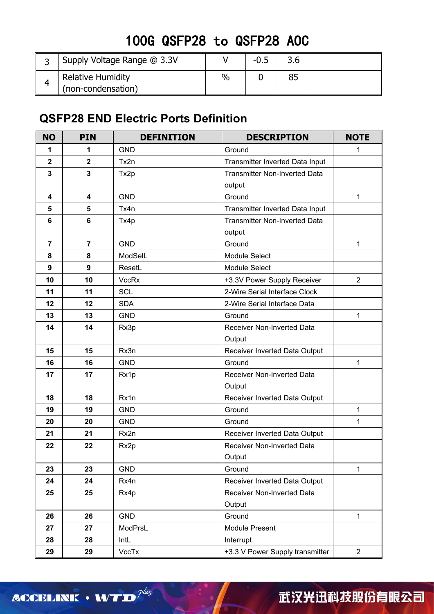| Supply Voltage Range @ 3.3V |      | -0.5 |  |
|-----------------------------|------|------|--|
| Relative Humidity           | $\%$ |      |  |
| (non-condensation)          |      |      |  |

## **QSFP28 END Electric Ports Definition**

| <b>NO</b>               | <b>PIN</b><br><b>DEFINITION</b><br><b>DESCRIPTION</b> |                                              | <b>NOTE</b>                          |                |
|-------------------------|-------------------------------------------------------|----------------------------------------------|--------------------------------------|----------------|
| 1                       | 1                                                     | <b>GND</b>                                   | Ground                               | 1              |
| $\mathbf{2}$            | $\overline{\mathbf{2}}$                               | Tx2n                                         | Transmitter Inverted Data Input      |                |
| 3                       | 3                                                     | <b>Transmitter Non-Inverted Data</b><br>Tx2p |                                      |                |
|                         |                                                       |                                              | output                               |                |
| $\overline{\mathbf{4}}$ | $\overline{\mathbf{4}}$                               | GND                                          | Ground                               | $\mathbf{1}$   |
| 5                       | $\overline{\mathbf{5}}$                               | Tx4n                                         | Transmitter Inverted Data Input      |                |
| 6                       | $\bf 6$                                               | Tx4p                                         | <b>Transmitter Non-Inverted Data</b> |                |
|                         |                                                       |                                              | output                               |                |
| $\overline{7}$          | $\overline{7}$                                        | <b>GND</b>                                   | Ground                               | $\mathbf{1}$   |
| 8                       | 8                                                     | ModSelL                                      | Module Select                        |                |
| 9                       | $\boldsymbol{9}$                                      | ResetL                                       | Module Select                        |                |
| 10                      | 10                                                    | <b>VccRx</b>                                 | +3.3V Power Supply Receiver          | $\overline{2}$ |
| 11                      | 11                                                    | <b>SCL</b>                                   | 2-Wire Serial Interface Clock        |                |
| 12                      | 12                                                    | <b>SDA</b>                                   | 2-Wire Serial Interface Data         |                |
| 13                      | 13                                                    | <b>GND</b>                                   | Ground                               | $\mathbf{1}$   |
| 14                      | 14                                                    | Rx3p                                         | Receiver Non-Inverted Data           |                |
|                         |                                                       |                                              | Output                               |                |
| 15                      | 15                                                    | Rx3n                                         | Receiver Inverted Data Output        |                |
| 16                      | 16                                                    | <b>GND</b>                                   | Ground                               | $\mathbf{1}$   |
| 17                      | 17<br>Rx1p                                            |                                              | Receiver Non-Inverted Data           |                |
|                         |                                                       |                                              | Output                               |                |
| 18                      | 18                                                    | Rx1n                                         | Receiver Inverted Data Output        |                |
| 19                      | 19                                                    | <b>GND</b>                                   | Ground                               | $\mathbf{1}$   |
| 20                      | 20                                                    | <b>GND</b>                                   | Ground                               | 1              |
| 21                      | 21                                                    | Rx2n                                         | Receiver Inverted Data Output        |                |
| 22                      | 22                                                    | Rx2p                                         | Receiver Non-Inverted Data           |                |
|                         |                                                       |                                              | Output                               |                |
| 23                      | 23                                                    | <b>GND</b>                                   | Ground                               | $\mathbf 1$    |
| 24                      | 24                                                    | Rx4n                                         | Receiver Inverted Data Output        |                |
| 25                      | 25                                                    | Rx4p                                         | Receiver Non-Inverted Data           |                |
|                         |                                                       |                                              | Output                               |                |
| 26                      | 26                                                    | <b>GND</b>                                   | Ground                               | $\mathbf{1}$   |
| 27                      | 27                                                    | ModPrsL                                      | Module Present                       |                |
| 28                      | 28                                                    | IntL                                         | Interrupt                            |                |
| 29                      | 29                                                    | VccTx                                        | +3.3 V Power Supply transmitter      | $\overline{2}$ |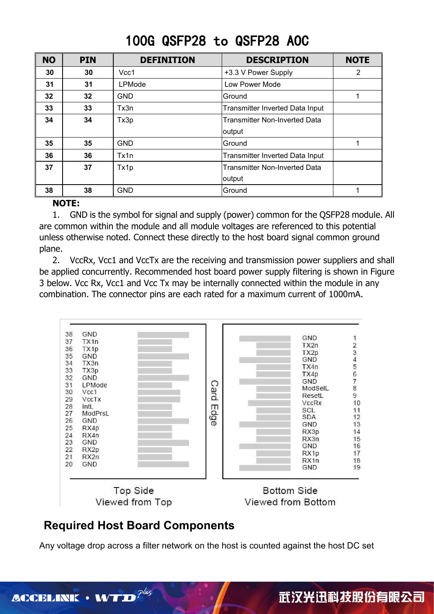| <b>NO</b> | <b>PIN</b>      | <b>DEFINITION</b> | <b>DESCRIPTION</b>              | <b>NOTE</b> |
|-----------|-----------------|-------------------|---------------------------------|-------------|
| 30        | 30              | Vcc1              | +3.3 V Power Supply             | 2           |
| 31        | 31              | LPMode            | Low Power Mode                  |             |
| 32        | 32 <sub>2</sub> | <b>GND</b>        | Ground                          |             |
| 33        | 33              | Tx3n              | Transmitter Inverted Data Input |             |
| 34        | 34              | Tx3p              | Transmitter Non-Inverted Data   |             |
|           |                 |                   | output                          |             |
| 35        | 35              | <b>GND</b>        | Ground                          |             |
| 36        | 36              | Tx1n              | Transmitter Inverted Data Input |             |
| 37        | 37              | Tx1p              | Transmitter Non-Inverted Data   |             |
|           |                 |                   | output                          |             |
| 38        | 38              | <b>GND</b>        | Ground                          |             |

#### **NOTE:**

1. GND is the symbol for signal and supply (power) common for the QSFP28 module. All are common within the module and all module voltages are referenced to this potential unless otherwise noted. Connect these directly to the host board signal common ground plane.

2. VccRx, Vcc1 and VccTx are the receiving and transmission power suppliers and shall be applied concurrently. Recommended host board power supply filtering is shown in Figure 3 below. Vcc Rx, Vcc1 and Vcc Tx may be internally connected within the module in any combination. The connector pins are each rated for a maximum current of 1000mA.



### **Required Host Board Components**

Any voltage drop across a filter network on the host is counted against the host DC set